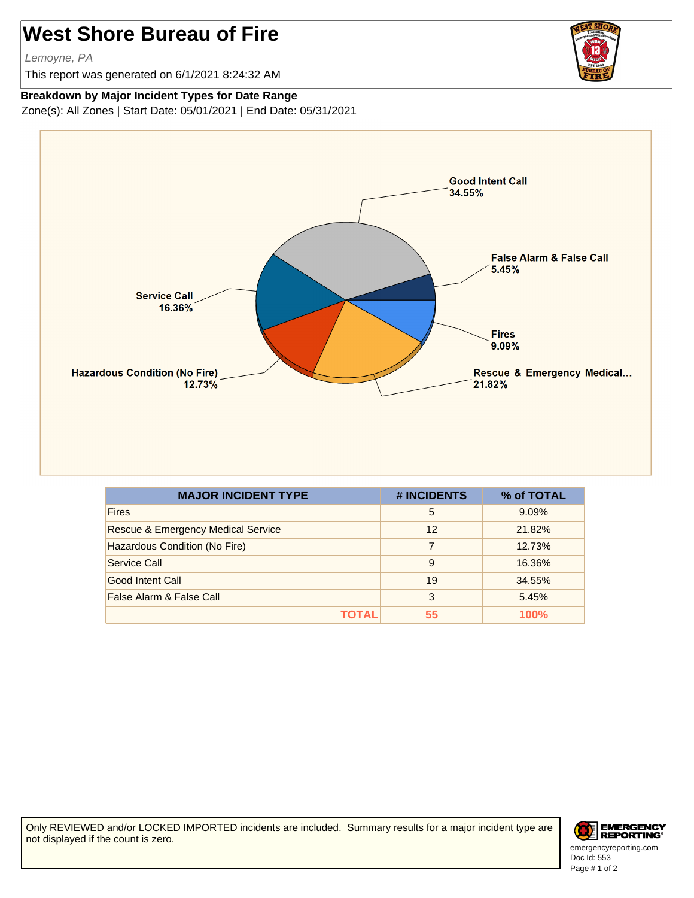## **West Shore Bureau of Fire**

Lemoyne, PA

This report was generated on 6/1/2021 8:24:32 AM



## **Breakdown by Major Incident Types for Date Range**

Zone(s): All Zones | Start Date: 05/01/2021 | End Date: 05/31/2021



| <b>MAJOR INCIDENT TYPE</b>                    | # INCIDENTS | % of TOTAL |
|-----------------------------------------------|-------------|------------|
| <b>Fires</b>                                  | 5           | 9.09%      |
| <b>Rescue &amp; Emergency Medical Service</b> | 12          | 21.82%     |
| Hazardous Condition (No Fire)                 | 7           | 12.73%     |
| Service Call                                  | 9           | 16.36%     |
| Good Intent Call                              | 19          | 34.55%     |
| False Alarm & False Call                      | 3           | 5.45%      |
| ΤΟΤΑL                                         | 55          | 100%       |

Only REVIEWED and/or LOCKED IMPORTED incidents are included. Summary results for a major incident type are not displayed if the count is zero.